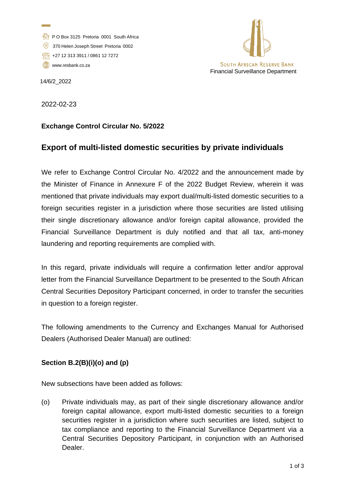- P O Box 3125 Pretoria 0001 South Africa
- 370 Helen Joseph Street Pretoria 0002
- +27 12 313 3911 / 0861 12 7272
- [www.resbank.co.za](http://www.resbank.co.za/)



14/6/2\_2022

2022-02-23

## **Exchange Control Circular No. 5/2022**

## **Export of multi-listed domestic securities by private individuals**

We refer to Exchange Control Circular No. 4/2022 and the announcement made by the Minister of Finance in Annexure F of the 2022 Budget Review, wherein it was mentioned that private individuals may export dual/multi-listed domestic securities to a foreign securities register in a jurisdiction where those securities are listed utilising their single discretionary allowance and/or foreign capital allowance, provided the Financial Surveillance Department is duly notified and that all tax, anti-money laundering and reporting requirements are complied with.

In this regard, private individuals will require a confirmation letter and/or approval letter from the Financial Surveillance Department to be presented to the South African Central Securities Depository Participant concerned, in order to transfer the securities in question to a foreign register.

The following amendments to the Currency and Exchanges Manual for Authorised Dealers (Authorised Dealer Manual) are outlined:

## **Section B.2(B)(i)(o) and (p)**

New subsections have been added as follows:

(o) Private individuals may, as part of their single discretionary allowance and/or foreign capital allowance, export multi-listed domestic securities to a foreign securities register in a jurisdiction where such securities are listed, subject to tax compliance and reporting to the Financial Surveillance Department via a Central Securities Depository Participant, in conjunction with an Authorised Dealer.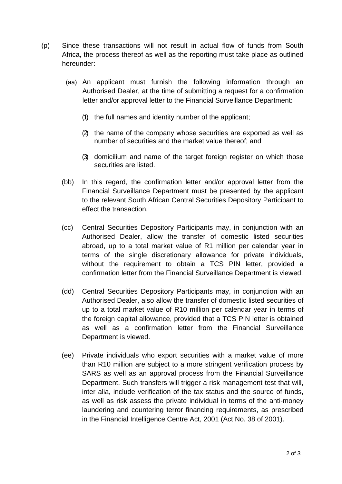- (p) Since these transactions will not result in actual flow of funds from South Africa, the process thereof as well as the reporting must take place as outlined hereunder:
	- (aa) An applicant must furnish the following information through an Authorised Dealer, at the time of submitting a request for a confirmation letter and/or approval letter to the Financial Surveillance Department:
		- (1) the full names and identity number of the applicant;
		- (2) the name of the company whose securities are exported as well as number of securities and the market value thereof; and
		- (3) domicilium and name of the target foreign register on which those securities are listed.
	- (bb) In this regard, the confirmation letter and/or approval letter from the Financial Surveillance Department must be presented by the applicant to the relevant South African Central Securities Depository Participant to effect the transaction.
	- (cc) Central Securities Depository Participants may, in conjunction with an Authorised Dealer, allow the transfer of domestic listed securities abroad, up to a total market value of R1 million per calendar year in terms of the single discretionary allowance for private individuals, without the requirement to obtain a TCS PIN letter, provided a confirmation letter from the Financial Surveillance Department is viewed.
	- (dd) Central Securities Depository Participants may, in conjunction with an Authorised Dealer, also allow the transfer of domestic listed securities of up to a total market value of R10 million per calendar year in terms of the foreign capital allowance, provided that a TCS PIN letter is obtained as well as a confirmation letter from the Financial Surveillance Department is viewed.
	- (ee) Private individuals who export securities with a market value of more than R10 million are subject to a more stringent verification process by SARS as well as an approval process from the Financial Surveillance Department. Such transfers will trigger a risk management test that will, inter alia, include verification of the tax status and the source of funds, as well as risk assess the private individual in terms of the anti-money laundering and countering terror financing requirements, as prescribed in the Financial Intelligence Centre Act, 2001 (Act No. 38 of 2001).